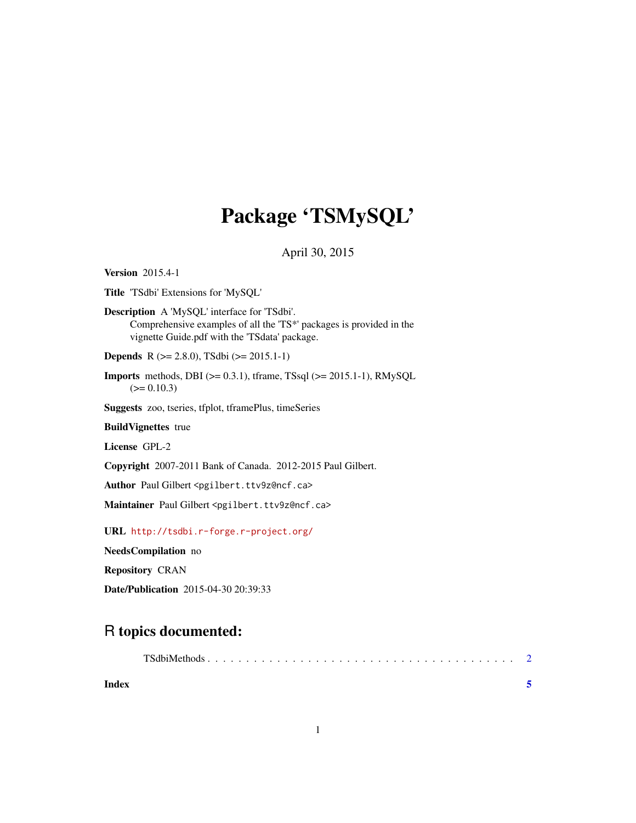# Package 'TSMySQL'

April 30, 2015

<span id="page-0-0"></span>Version 2015.4-1

Title 'TSdbi' Extensions for 'MySQL'

Description A 'MySQL' interface for 'TSdbi'. Comprehensive examples of all the 'TS\*' packages is provided in the vignette Guide.pdf with the 'TSdata' package.

Depends R (>= 2.8.0), TSdbi (>= 2015.1-1)

**Imports** methods, DBI ( $>= 0.3.1$ ), tframe, TSsql ( $>= 2015.1-1$ ), RMySQL  $(>= 0.10.3)$ 

Suggests zoo, tseries, tfplot, tframePlus, timeSeries

BuildVignettes true

License GPL-2

Copyright 2007-2011 Bank of Canada. 2012-2015 Paul Gilbert.

Author Paul Gilbert <pgilbert.ttv9z@ncf.ca>

Maintainer Paul Gilbert <pgilbert.ttv9z@ncf.ca>

URL <http://tsdbi.r-forge.r-project.org/>

NeedsCompilation no

Repository CRAN

Date/Publication 2015-04-30 20:39:33

# R topics documented:

| Index |  |  |  |  |  |  |  |  |  |  |  |  |  |  |  |
|-------|--|--|--|--|--|--|--|--|--|--|--|--|--|--|--|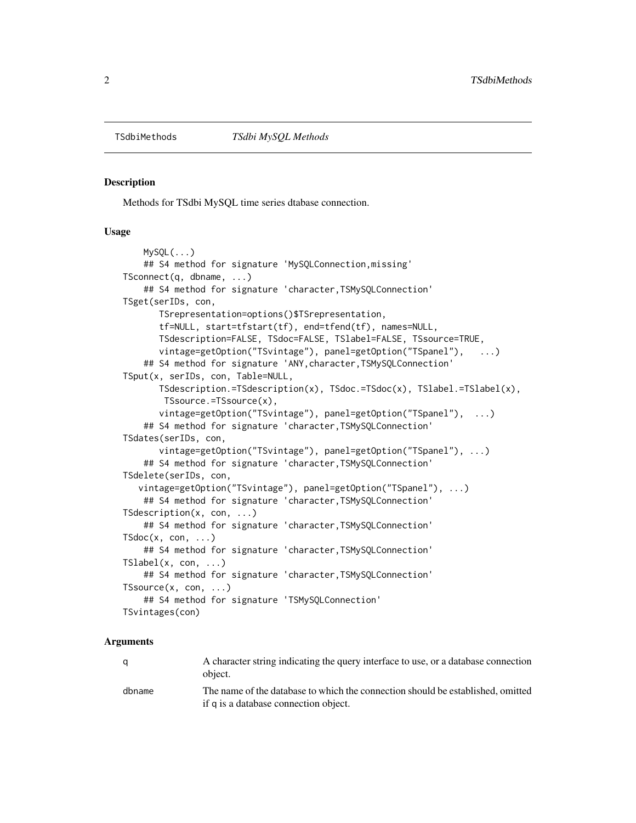<span id="page-1-0"></span>TSdbiMethods

## **Description**

Methods for TSdbi MySQL time series dtabase connection.

#### **Usage**

```
MySQL (...)
   ## S4 method for signature 'MySOLConnection, missing'
TSconnet(q, dbname, ...)## S4 method for signature 'character, TSMySQLConnection'
TSget(serIDs, con,
      TSrepresentation=options()$TSrepresentation,
      tf=NULL, start=tfstart(tf), end=tfend(tf), names=NULL,
      TSdescription=FALSE, TSdoc=FALSE, TSlabel=FALSE, TSsource=TRUE,
      vintage=getOption("TSvintage"), panel=getOption("TSpanel"), ...)
   ## S4 method for signature 'ANY, character, TSMySQLConnection'
TSput(x, serIDs, con, Table=NULL,
       TSdescription.=TSdescription(x), TSdoc.=TSdoc(x), TSlabel.=TSlabel(x),
       TSsource.=TSsource(x),
      vintage=getOption("TSvintage"), panel=getOption("TSpanel"), \dots)
   ## S4 method for signature 'character, TSMySQLConnection'
TSdates(serIDs, con,
      vintage=getOption("TSvintage"), panel=getOption("TSpanel"), ...)
   ## S4 method for signature 'character, TSMySQLConnection'
TSdelete(serIDs, con,
  vintage=getOption("TSvintage"), panel=getOption("TSpanel"), ...)
   ## S4 method for signature 'character, TSMySQLConnection'
TSdescription(x, con, ...)## S4 method for signature 'character, TSMySQLConnection'
TSdoc(x, con, ...)## S4 method for signature 'character, TSMySQLConnection'
TSlabel(x, con, ...)## S4 method for signature 'character, TSMySQLConnection'
TSsource(x, con, ...)## S4 method for signature 'TSMySQLConnection'
TSvintages(con)
```
### **Arguments**

| a      | A character string indicating the query interface to use, or a database connection<br>object.                            |
|--------|--------------------------------------------------------------------------------------------------------------------------|
| dbname | The name of the database to which the connection should be established, omitted<br>if q is a database connection object. |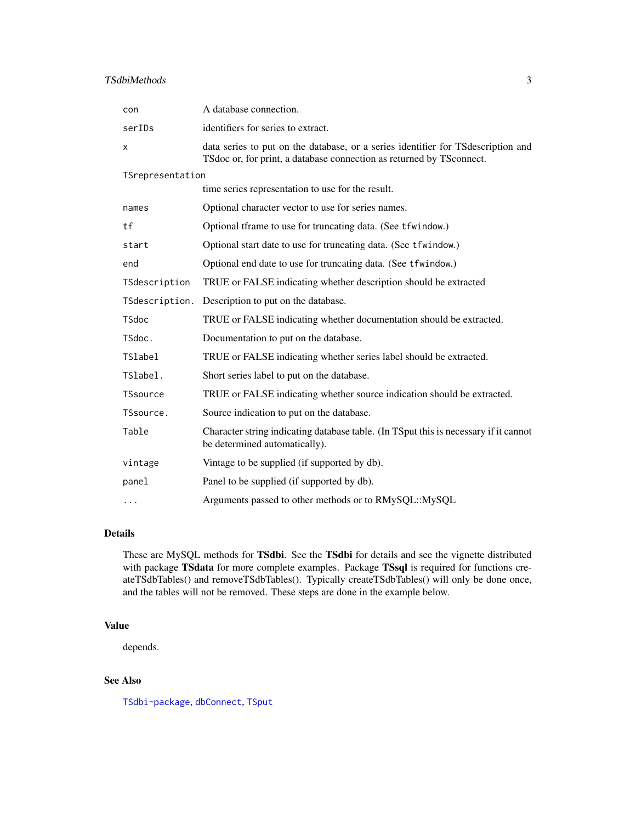# <span id="page-2-0"></span>TSdbiMethods 3

| con              | A database connection.                                                                                                                                    |  |  |  |  |  |  |  |
|------------------|-----------------------------------------------------------------------------------------------------------------------------------------------------------|--|--|--|--|--|--|--|
| serIDs           | identifiers for series to extract.                                                                                                                        |  |  |  |  |  |  |  |
| X                | data series to put on the database, or a series identifier for TS description and<br>TSdoc or, for print, a database connection as returned by TSconnect. |  |  |  |  |  |  |  |
| TSrepresentation |                                                                                                                                                           |  |  |  |  |  |  |  |
|                  | time series representation to use for the result.                                                                                                         |  |  |  |  |  |  |  |
| names            | Optional character vector to use for series names.                                                                                                        |  |  |  |  |  |  |  |
| tf               | Optional tframe to use for truncating data. (See tfwindow.)                                                                                               |  |  |  |  |  |  |  |
| start            | Optional start date to use for truncating data. (See tfwindow.)                                                                                           |  |  |  |  |  |  |  |
| end              | Optional end date to use for truncating data. (See tfwindow.)                                                                                             |  |  |  |  |  |  |  |
| TSdescription    | TRUE or FALSE indicating whether description should be extracted                                                                                          |  |  |  |  |  |  |  |
| TSdescription.   | Description to put on the database.                                                                                                                       |  |  |  |  |  |  |  |
| <b>TSdoc</b>     | TRUE or FALSE indicating whether documentation should be extracted.                                                                                       |  |  |  |  |  |  |  |
| TSdoc.           | Documentation to put on the database.                                                                                                                     |  |  |  |  |  |  |  |
| <b>TSlabel</b>   | TRUE or FALSE indicating whether series label should be extracted.                                                                                        |  |  |  |  |  |  |  |
| TSlabel.         | Short series label to put on the database.                                                                                                                |  |  |  |  |  |  |  |
| <b>TSsource</b>  | TRUE or FALSE indicating whether source indication should be extracted.                                                                                   |  |  |  |  |  |  |  |
| TSsource.        | Source indication to put on the database.                                                                                                                 |  |  |  |  |  |  |  |
| Table            | Character string indicating database table. (In TSput this is necessary if it cannot<br>be determined automatically).                                     |  |  |  |  |  |  |  |
| vintage          | Vintage to be supplied (if supported by db).                                                                                                              |  |  |  |  |  |  |  |
| panel            | Panel to be supplied (if supported by db).                                                                                                                |  |  |  |  |  |  |  |
| $\cdots$         | Arguments passed to other methods or to RMySQL::MySQL                                                                                                     |  |  |  |  |  |  |  |
|                  |                                                                                                                                                           |  |  |  |  |  |  |  |

# Details

These are MySQL methods for TSdbi. See the TSdbi for details and see the vignette distributed with package TSdata for more complete examples. Package TSsql is required for functions createTSdbTables() and removeTSdbTables(). Typically createTSdbTables() will only be done once, and the tables will not be removed. These steps are done in the example below.

## Value

depends.

# See Also

[TSdbi-package](#page-0-0), [dbConnect](#page-0-0), [TSput](#page-0-0)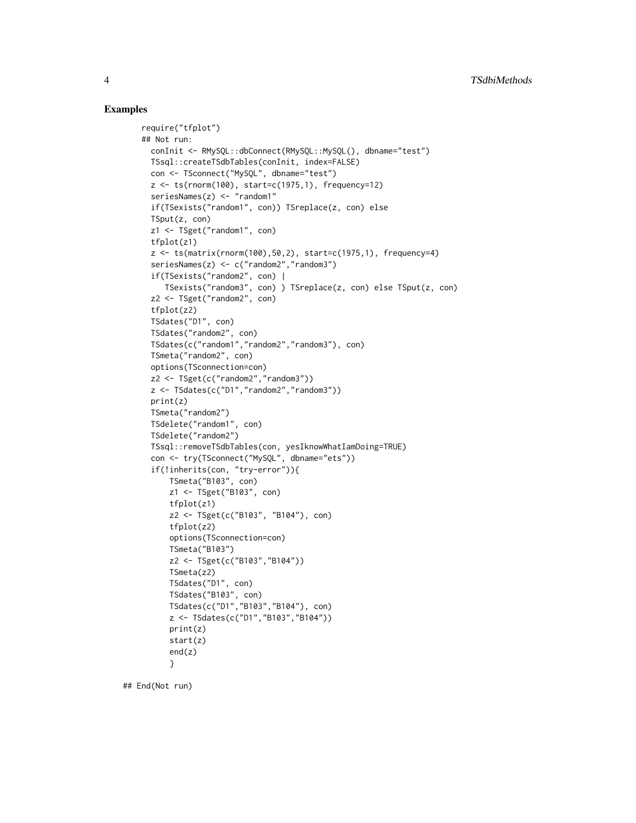### Examples

```
require("tfplot")
## Not run:
 conInit <- RMySQL::dbConnect(RMySQL::MySQL(), dbname="test")
 TSsql::createTSdbTables(conInit, index=FALSE)
 con <- TSconnect("MySQL", dbname="test")
 z <- ts(rnorm(100), start=c(1975,1), frequency=12)
 seriesNames(z) <- "random1"
 if(TSexists("random1", con)) TSreplace(z, con) else
 TSput(z, con)
 z1 <- TSget("random1", con)
 tfplot(z1)
 z <- ts(matrix(rnorm(100),50,2), start=c(1975,1), frequency=4)
 seriesNames(z) <- c("random2","random3")
 if(TSexists("random2", con) |
    TSexists("random3", con) ) TSreplace(z, con) else TSput(z, con)
 z2 <- TSget("random2", con)
  tfplot(z2)
 TSdates("D1", con)
 TSdates("random2", con)
 TSdates(c("random1","random2","random3"), con)
 TSmeta("random2", con)
 options(TSconnection=con)
 z2 <- TSget(c("random2","random3"))
 z <- TSdates(c("D1","random2","random3"))
 print(z)
 TSmeta("random2")
 TSdelete("random1", con)
 TSdelete("random2")
 TSsql::removeTSdbTables(con, yesIknowWhatIamDoing=TRUE)
 con <- try(TSconnect("MySQL", dbname="ets"))
  if(!inherits(con, "try-error")){
     TSmeta("B103", con)
     z1 <- TSget("B103", con)
     tfplot(z1)
     z2 <- TSget(c("B103", "B104"), con)
     tfplot(z2)
     options(TSconnection=con)
     TSmeta("B103")
     z2 <- TSget(c("B103","B104"))
     TSmeta(z2)
     TSdates("D1", con)
     TSdates("B103", con)
     TSdates(c("D1","B103","B104"), con)
     z <- TSdates(c("D1","B103","B104"))
     print(z)
     start(z)
      end(z)
      }
```
## End(Not run)